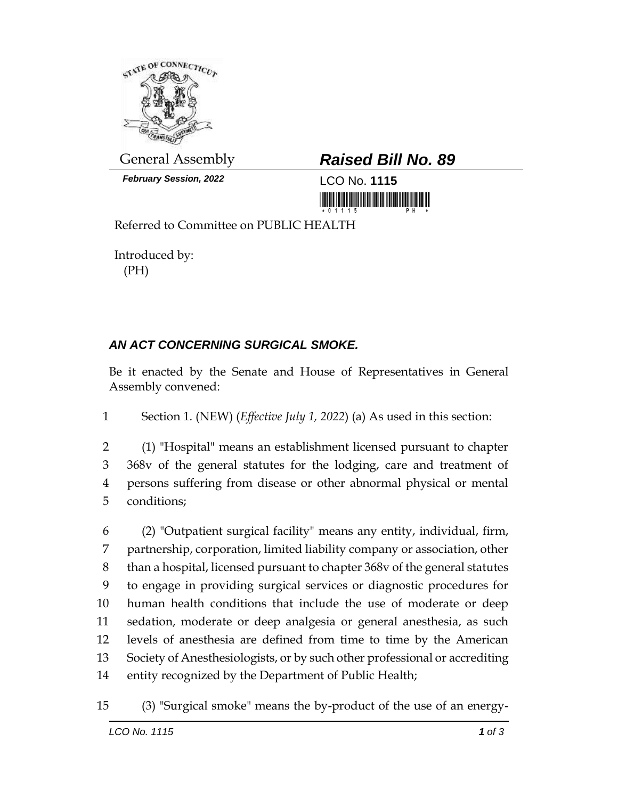

*February Session, 2022* LCO No. **1115**

## General Assembly *Raised Bill No. 89*

<u> III Million Maria Maria Maria Maria Maria Maria Maria Maria Maria Maria Maria Maria Maria Maria Maria Maria M</u>

Referred to Committee on PUBLIC HEALTH

Introduced by: (PH)

## *AN ACT CONCERNING SURGICAL SMOKE.*

Be it enacted by the Senate and House of Representatives in General Assembly convened:

1 Section 1. (NEW) (*Effective July 1, 2022*) (a) As used in this section:

 (1) "Hospital" means an establishment licensed pursuant to chapter 368v of the general statutes for the lodging, care and treatment of persons suffering from disease or other abnormal physical or mental conditions;

 (2) "Outpatient surgical facility" means any entity, individual, firm, partnership, corporation, limited liability company or association, other than a hospital, licensed pursuant to chapter 368v of the general statutes to engage in providing surgical services or diagnostic procedures for human health conditions that include the use of moderate or deep sedation, moderate or deep analgesia or general anesthesia, as such levels of anesthesia are defined from time to time by the American Society of Anesthesiologists, or by such other professional or accrediting entity recognized by the Department of Public Health;

15 (3) "Surgical smoke" means the by-product of the use of an energy-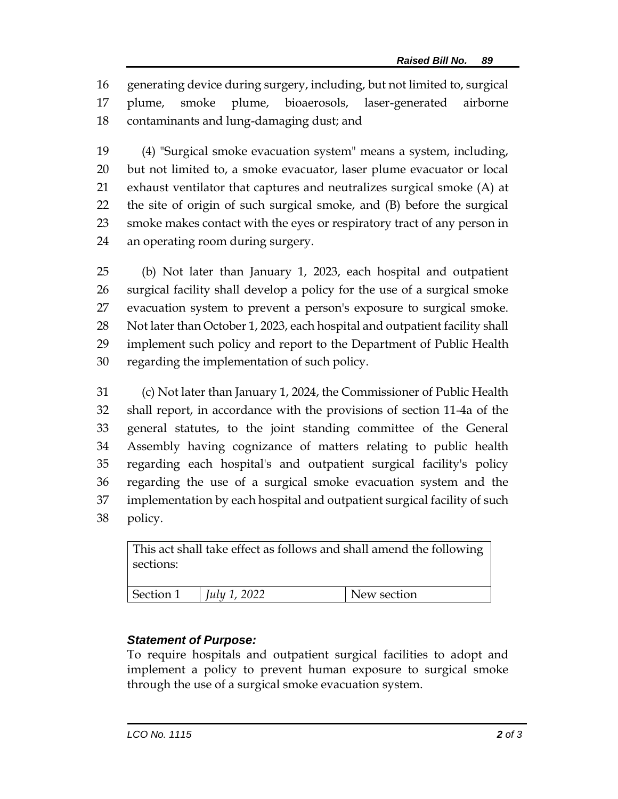generating device during surgery, including, but not limited to, surgical plume, smoke plume, bioaerosols, laser-generated airborne contaminants and lung-damaging dust; and

 (4) "Surgical smoke evacuation system" means a system, including, but not limited to, a smoke evacuator, laser plume evacuator or local exhaust ventilator that captures and neutralizes surgical smoke (A) at the site of origin of such surgical smoke, and (B) before the surgical smoke makes contact with the eyes or respiratory tract of any person in an operating room during surgery.

 (b) Not later than January 1, 2023, each hospital and outpatient surgical facility shall develop a policy for the use of a surgical smoke evacuation system to prevent a person's exposure to surgical smoke. 28 Not later than October 1, 2023, each hospital and outpatient facility shall implement such policy and report to the Department of Public Health regarding the implementation of such policy.

 (c) Not later than January 1, 2024, the Commissioner of Public Health shall report, in accordance with the provisions of section 11-4a of the general statutes, to the joint standing committee of the General Assembly having cognizance of matters relating to public health regarding each hospital's and outpatient surgical facility's policy regarding the use of a surgical smoke evacuation system and the implementation by each hospital and outpatient surgical facility of such policy.

| This act shall take effect as follows and shall amend the following<br>sections: |                     |             |
|----------------------------------------------------------------------------------|---------------------|-------------|
| Section 1                                                                        | <i>July 1, 2022</i> | New section |

## *Statement of Purpose:*

To require hospitals and outpatient surgical facilities to adopt and implement a policy to prevent human exposure to surgical smoke through the use of a surgical smoke evacuation system.